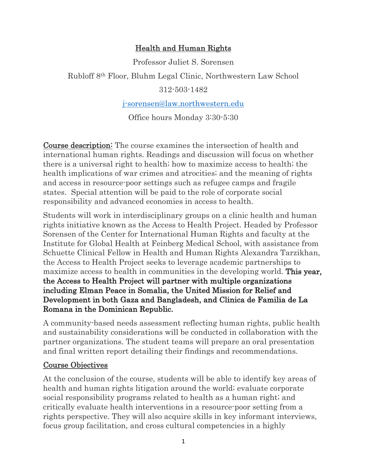#### Health and Human Rights

Professor Juliet S. Sorensen

Rubloff 8th Floor, Bluhm Legal Clinic, Northwestern Law School

312-503-1482

j-sorensen@law.northwestern.edu

Office hours Monday 3:30-5:30

Course description: The course examines the intersection of health and international human rights. Readings and discussion will focus on whether there is a universal right to health; how to maximize access to health; the health implications of war crimes and atrocities; and the meaning of rights and access in resource-poor settings such as refugee camps and fragile states. Special attention will be paid to the role of corporate social responsibility and advanced economies in access to health.

Students will work in interdisciplinary groups on a clinic health and human rights initiative known as the Access to Health Project. Headed by Professor Sorensen of the Center for International Human Rights and faculty at the Institute for Global Health at Feinberg Medical School, with assistance from Schuette Clinical Fellow in Health and Human Rights Alexandra Tarzikhan, the Access to Health Project seeks to leverage academic partnerships to maximize access to health in communities in the developing world. This year, the Access to Health Project will partner with multiple organizations including Elman Peace in Somalia, the United Mission for Relief and Development in both Gaza and Bangladesh, and Clinica de Familia de La Romana in the Dominican Republic.

A community-based needs assessment reflecting human rights, public health and sustainability considerations will be conducted in collaboration with the partner organizations. The student teams will prepare an oral presentation and final written report detailing their findings and recommendations.

#### Course Objectives

At the conclusion of the course, students will be able to identify key areas of health and human rights litigation around the world; evaluate corporate social responsibility programs related to health as a human right; and critically evaluate health interventions in a resource-poor setting from a rights perspective. They will also acquire skills in key informant interviews, focus group facilitation, and cross cultural competencies in a highly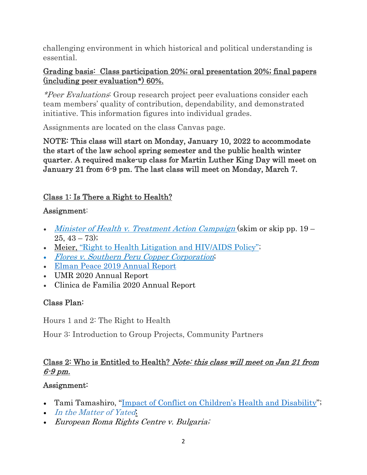challenging environment in which historical and political understanding is essential.

#### Grading basis: Class participation 20%; oral presentation 20%; final papers (including peer evaluation\*) 60%.

\*Peer Evaluations: Group research project peer evaluations consider each team members' quality of contribution, dependability, and demonstrated initiative. This information figures into individual grades.

Assignments are located on the class Canvas page.

NOTE: This class will start on Monday, January 10, 2022 to accommodate the start of the law school spring semester and the public health winter quarter. A required make-up class for Martin Luther King Day will meet on January 21 from 6-9 pm. The last class will meet on Monday, March 7.

## Class 1: Is There a Right to Health?

### Assignment:

- Minister of Health v. Treatment Action Campaign (skim or skip pp. 19  $25, 43 - 73$ ;
- Meier, "Right to Health Litigation and HIV/AIDS Policy";
- Flores v. Southern Peru Copper Corporation;
- Elman Peace 2019 Annual Report
- UMR 2020 Annual Report
- Clinica de Familia 2020 Annual Report

## Class Plan:

Hours 1 and 2: The Right to Health

Hour 3: Introduction to Group Projects, Community Partners

## Class 2: Who is Entitled to Health? Note: this class will meet on Jan 21 from 6-9 pm.

## Assignment:

- Tami Tamashiro, "Impact of Conflict on Children's Health and Disability";
- In the Matter of Yated,
- European Roma Rights Centre v. Bulgaria;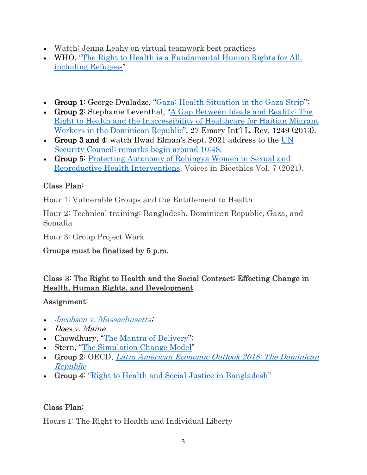- Watch: Jenna Leahy on virtual teamwork best practices
- WHO, "The Right to Health is a Fundamental Human Rights for All, including Refugees"
- Group 1: George Dvaladze, "Gaza: Health Situation in the Gaza Strip";
- Group 2: Stephanie Leventhal, "A Gap Between Ideals and Reality: The Right to Health and the Inaccessibility of Healthcare for Haitian Migrant Workers in the Dominican Republic", 27 Emory Int'l L. Rev. 1249 (2013).
- Group 3 and 4: watch Ilwad Elman's Sept. 2021 address to the UN Security Council; remarks begin around 10:48.
- Group 5: Protecting Autonomy of Rohingya Women in Sexual and Reproductive Health Interventions, Voices in Bioethics Vol. 7 (2021).

## Class Plan:

Hour 1: Vulnerable Groups and the Entitlement to Health

Hour 2: Technical training: Bangladesh, Dominican Republic, Gaza, and Somalia

Hour 3: Group Project Work

## Groups must be finalized by 5 p.m.

### Class 3: The Right to Health and the Social Contract; Effecting Change in Health, Human Rights, and Development

#### Assignment:

- Jacobson v. Massachusetts;
- Does *v. Maine*
- Chowdhury, "The Mantra of Delivery";
- Stern, "The Simulation Change Model"
- Group 2: OECD, Latin American Economic Outlook 2018: The Dominican Republic
- Group 4: "Right to Health and Social Justice in Bangladesh"

## Class Plan:

Hours 1: The Right to Health and Individual Liberty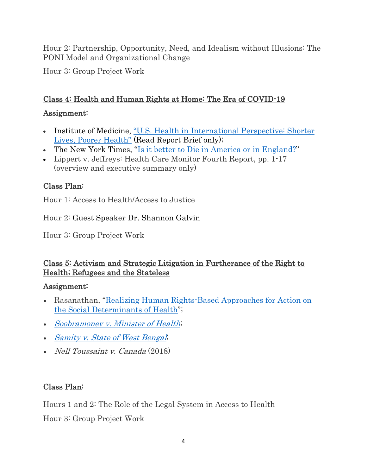Hour 2: Partnership, Opportunity, Need, and Idealism without Illusions: The PONI Model and Organizational Change

Hour 3: Group Project Work

### Class 4: Health and Human Rights at Home: The Era of COVID-19

#### Assignment:

- Institute of Medicine, "U.S. Health in International Perspective: Shorter Lives, Poorer Health" (Read Report Brief only);
- The New York Times, "Is it better to Die in America or in England?"
- Lippert v. Jeffreys: Health Care Monitor Fourth Report, pp. 1-17 (overview and executive summary only)

## Class Plan:

Hour 1: Access to Health/Access to Justice

Hour 2: Guest Speaker Dr. Shannon Galvin

Hour 3: Group Project Work

### Class 5: Activism and Strategic Litigation in Furtherance of the Right to Health; Refugees and the Stateless

#### Assignment:

- Rasanathan, "Realizing Human Rights-Based Approaches for Action on the Social Determinants of Health";
- Soobramonev v. Minister of Health;
- Samity v. State of West Bengal;
- *Nell Toussaint v. Canada* (2018)

## Class Plan:

Hours 1 and 2: The Role of the Legal System in Access to Health Hour 3: Group Project Work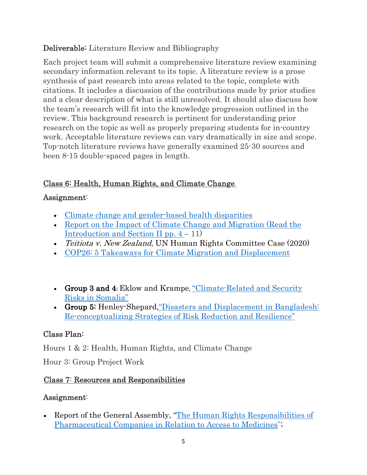### Deliverable: Literature Review and Bibliography

Each project team will submit a comprehensive literature review examining secondary information relevant to its topic. A literature review is a prose synthesis of past research into areas related to the topic, complete with citations. It includes a discussion of the contributions made by prior studies and a clear description of what is still unresolved. It should also discuss how the team's research will fit into the knowledge progression outlined in the review. This background research is pertinent for understanding prior research on the topic as well as properly preparing students for in-country work. Acceptable literature reviews can vary dramatically in size and scope. Top-notch literature reviews have generally examined 25-30 sources and been 8-15 double-spaced pages in length.

### Class 6: Health, Human Rights, and Climate Change

### Assignment:

- Climate change and gender-based health disparities
- Report on the Impact of Climate Change and Migration (Read the Introduction and Section II pp.  $4 - 11$ )
- *Teitiota v. New Zealand*, UN Human Rights Committee Case (2020)
- COP26: 5 Takeaways for Climate Migration and Displacement
- Group 3 and 4**:** Eklow and Krampe, "Climate-Related and Security Risks in Somalia"
- Group 5: Henley-Shepard,"Disasters and Displacement in Bangladesh: Re-conceptualizing Strategies of Risk Reduction and Resilience"

# Class Plan:

Hours 1 & 2: Health, Human Rights, and Climate Change

Hour 3: Group Project Work

## Class 7: Resources and Responsibilities

#### Assignment:

• Report of the General Assembly, "The Human Rights Responsibilities of Pharmaceutical Companies in Relation to Access to Medicines";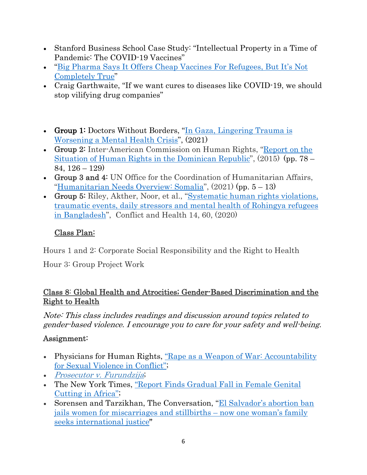- Stanford Business School Case Study: "Intellectual Property in a Time of Pandemic: The COVID-19 Vaccines"
- "Big Pharma Says It Offers Cheap Vaccines For Refugees, But It's Not Completely True"
- Craig Garthwaite, "If we want cures to diseases like COVID-19, we should stop vilifying drug companies"
- Group 1: Doctors Without Borders, "In Gaza, Lingering Trauma is Worsening a Mental Health Crisis", (2021)
- Group 2: Inter-American Commission on Human Rights, "Report on the Situation of Human Rights in the Dominican Republic", (2015) (pp. 78 – 84, 126 – 129)
- Group 3 and 4: UN Office for the Coordination of Humanitarian Affairs, "Humanitarian Needs Overview: Somalia", (2021) (pp. 5 – 13)
- Group 5: Riley, Akther, Noor, et al., "Systematic human rights violations, traumatic events, daily stressors and mental health of Rohingya refugees in Bangladesh", Conflict and Health 14, 60, (2020)

## Class Plan:

Hours 1 and 2: Corporate Social Responsibility and the Right to Health

Hour 3: Group Project Work

### Class 8: Global Health and Atrocities; Gender-Based Discrimination and the Right to Health

Note: This class includes readings and discussion around topics related to gender-based violence. I encourage you to care for your safety and well-being.

## Assignment:

- Physicians for Human Rights, <u>"Rape as a Weapon of War: Accountability</u> for Sexual Violence in Conflict";
- Prosecutor v. Furundzija;
- The New York Times, "Report Finds Gradual Fall in Female Genital Cutting in Africa";
- Sorensen and Tarzikhan, The Conversation, "El Salvador's abortion ban jails women for miscarriages and stillbirths – now one woman's family seeks international justice"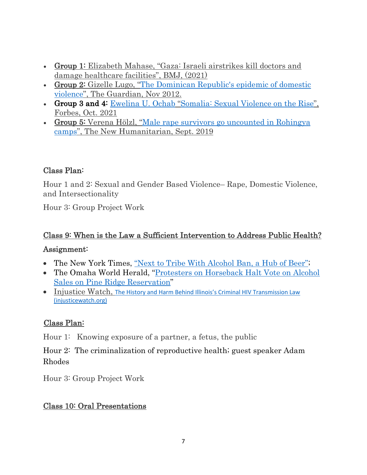- Group 1: Elizabeth Mahase, "Gaza: Israeli airstrikes kill doctors and damage healthcare facilities", BMJ, (2021)
- Group 2: Gizelle Lugo, "The Dominican Republic's epidemic of domestic violence", The Guardian, Nov 2012.
- Group 3 and 4: Ewelina U. Ochab "Somalia: Sexual Violence on the Rise", Forbes, Oct. 2021
- Group 5: Verena Hölzl, "Male rape survivors go uncounted in Rohingya camps", The New Humanitarian, Sept. 2019

### Class Plan:

Hour 1 and 2: Sexual and Gender Based Violence– Rape, Domestic Violence, and Intersectionality

Hour 3: Group Project Work

## Class 9: When is the Law a Sufficient Intervention to Address Public Health?

#### Assignment:

- The New York Times, "Next to Tribe With Alcohol Ban, a Hub of Beer";
- The Omaha World Herald, "Protesters on Horseback Halt Vote on Alcohol Sales on Pine Ridge Reservation"
- Injustice Watch, The History and Harm Behind Illinois's Criminal HIV Transmission Law (injusticewatch.org)

#### Class Plan:

Hour 1: Knowing exposure of a partner, a fetus, the public

Hour 2: The criminalization of reproductive health; guest speaker Adam Rhodes

Hour 3: Group Project Work

#### Class 10: Oral Presentations